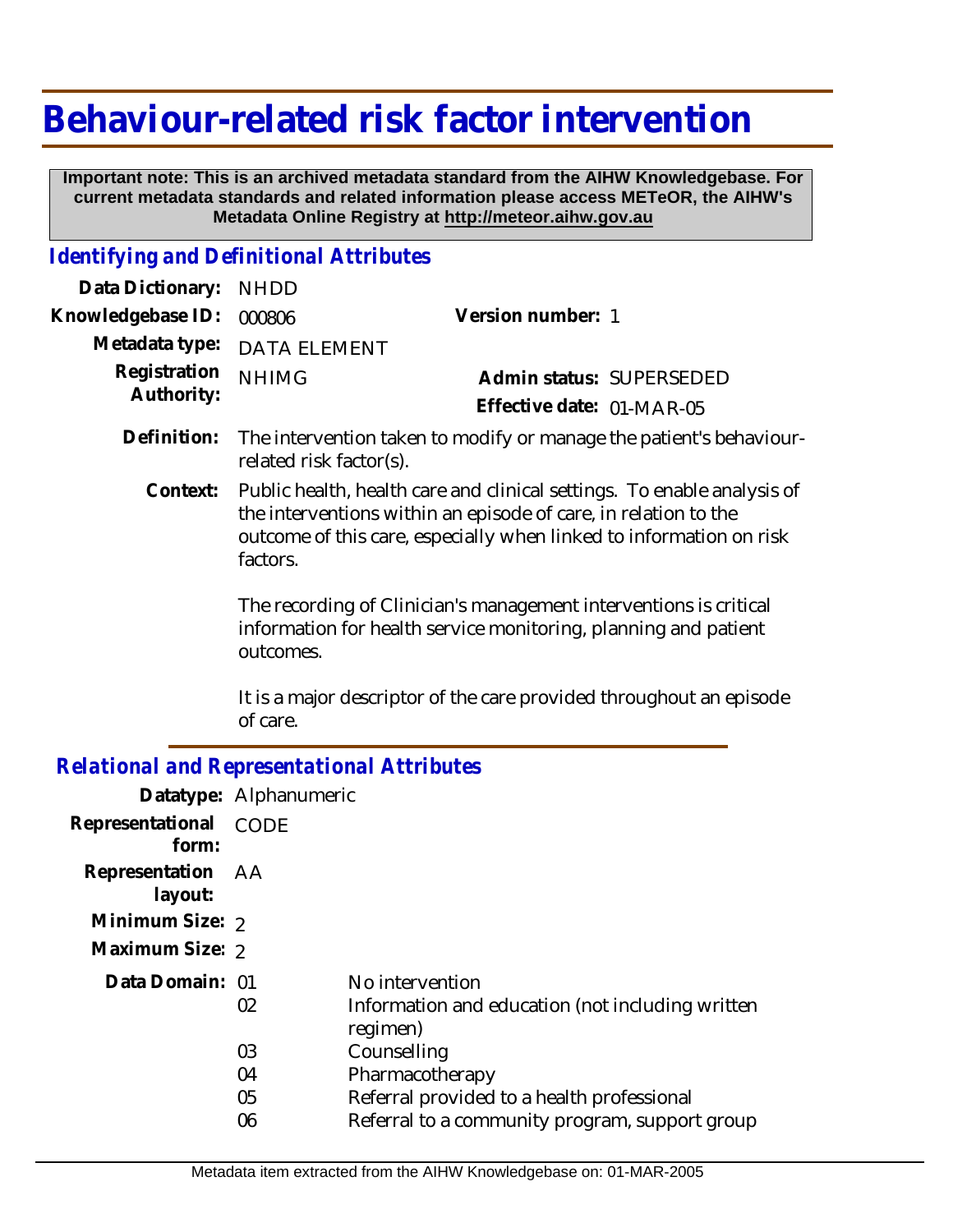## **Behaviour-related risk factor intervention**

 **Important note: This is an archived metadata standard from the AIHW Knowledgebase. For current metadata standards and related information please access METeOR, the AIHW's Metadata Online Registry at http://meteor.aihw.gov.au**

## *Identifying and Definitional Attributes*

| Data Dictionary: NHDD      |                                                                                                |                           |                          |
|----------------------------|------------------------------------------------------------------------------------------------|---------------------------|--------------------------|
| Knowledgebase ID:          | 000806                                                                                         | Version number: 1         |                          |
|                            | Metadata type: DATA ELEMENT                                                                    |                           |                          |
| Registration<br>Authority: | <b>NHIMG</b>                                                                                   |                           | Admin status: SUPERSEDED |
|                            |                                                                                                | Effective date: 01-MAR-05 |                          |
| Definition:                | The intervention taken to modify or manage the patient's behaviour-<br>related risk factor(s). |                           |                          |

Public health, health care and clinical settings. To enable analysis of the interventions within an episode of care, in relation to the outcome of this care, especially when linked to information on risk factors. **Context:**

> The recording of Clinician's management interventions is critical information for health service monitoring, planning and patient outcomes.

It is a major descriptor of the care provided throughout an episode of care.

## *Relational and Representational Attributes*

|                              | Datatype: Alphanumeric |                                                              |
|------------------------------|------------------------|--------------------------------------------------------------|
| Representational<br>form:    | CODE                   |                                                              |
| Representation AA<br>layout: |                        |                                                              |
| Minimum Size: 2              |                        |                                                              |
| Maximum Size: 2              |                        |                                                              |
| Data Domain: 01              |                        | No intervention                                              |
|                              | 02                     | Information and education (not including written<br>regimen) |
|                              | 03                     | Counselling                                                  |
|                              | 04                     | Pharmacotherapy                                              |
|                              | 05                     | Referral provided to a health professional                   |
|                              | 06                     | Referral to a community program, support group               |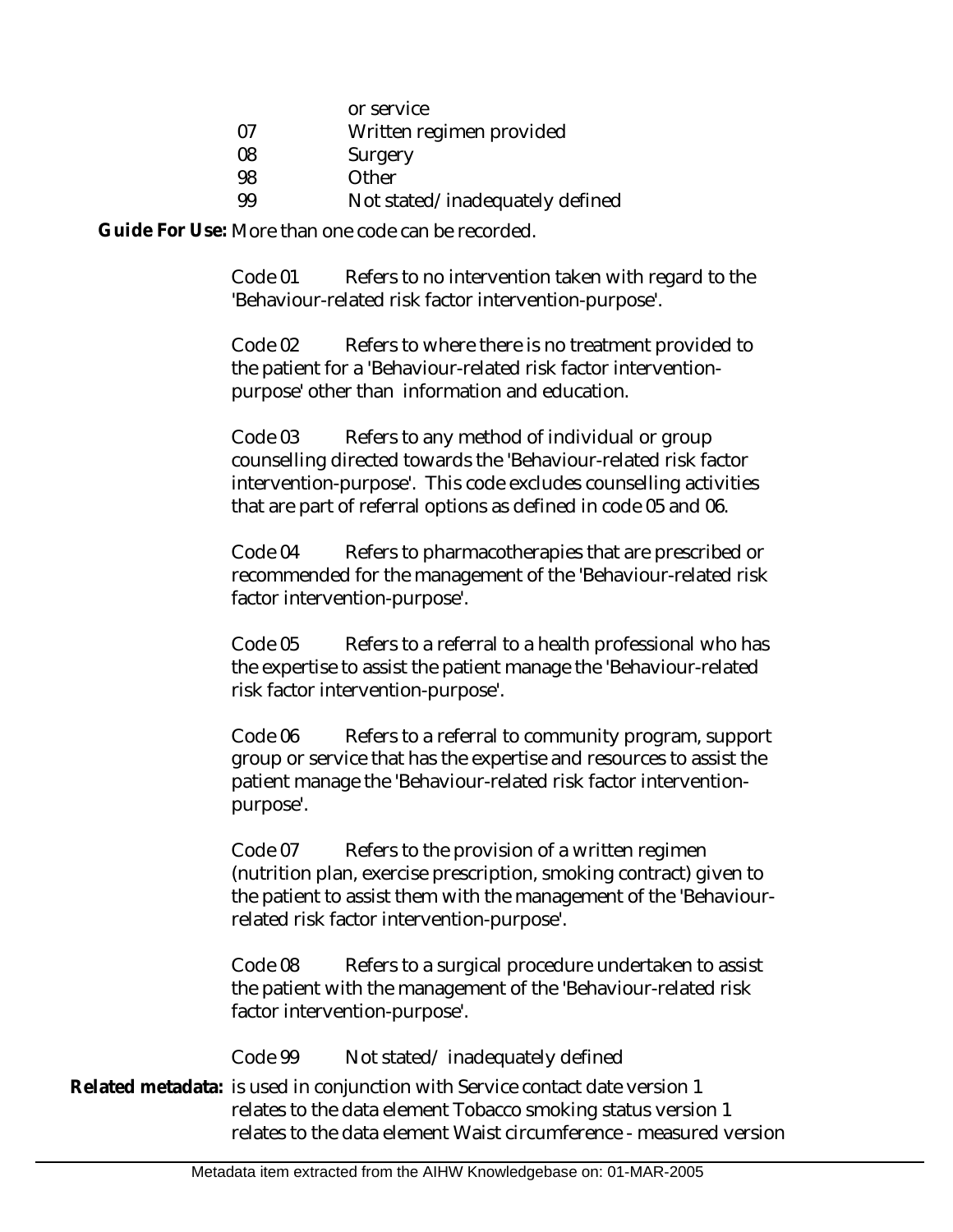|    | or service                 |
|----|----------------------------|
| 07 | Written regimen provided   |
| 08 | Surgery                    |
| 98 | Other                      |
| 99 | Not stated/inadequately de |

Not stated/inadequately defined

Guide For Use: More than one code can be recorded.

Code 01 Refers to no intervention taken with regard to the 'Behaviour-related risk factor intervention-purpose'.

Code 02 Refers to where there is no treatment provided to the patient for a 'Behaviour-related risk factor interventionpurpose' other than information and education.

Code 03 Refers to any method of individual or group counselling directed towards the 'Behaviour-related risk factor intervention-purpose'. This code excludes counselling activities that are part of referral options as defined in code 05 and 06.

Code 04 Refers to pharmacotherapies that are prescribed or recommended for the management of the 'Behaviour-related risk factor intervention-purpose'.

Code 05 Refers to a referral to a health professional who has the expertise to assist the patient manage the 'Behaviour-related risk factor intervention-purpose'.

Code 06 Refers to a referral to community program, support group or service that has the expertise and resources to assist the patient manage the 'Behaviour-related risk factor interventionpurpose'.

Code 07 Refers to the provision of a written regimen (nutrition plan, exercise prescription, smoking contract) given to the patient to assist them with the management of the 'Behaviourrelated risk factor intervention-purpose'.

Code 08 Refers to a surgical procedure undertaken to assist the patient with the management of the 'Behaviour-related risk factor intervention-purpose'.

Code 99 Not stated/ inadequately defined

Related metadata: is used in conjunction with Service contact date version 1 relates to the data element Tobacco smoking status version 1 relates to the data element Waist circumference - measured version